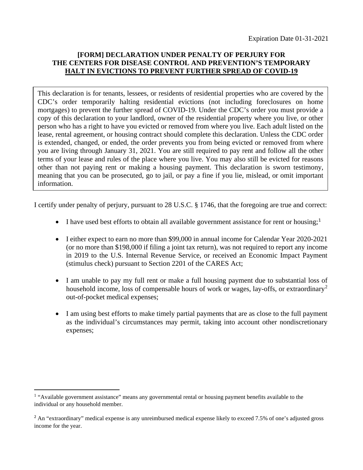## **[FORM] DECLARATION UNDER PENALTY OF PERJURY FOR THE CENTERS FOR DISEASE CONTROL AND PREVENTION'S TEMPORARY HALT IN EVICTIONS TO PREVENT FURTHER SPREAD OF COVID-19**

This declaration is for tenants, lessees, or residents of residential properties who are covered by the CDC's order temporarily halting residential evictions (not including foreclosures on home mortgages) to prevent the further spread of COVID-19. Under the CDC's order you must provide a copy of this declaration to your landlord, owner of the residential property where you live, or other person who has a right to have you evicted or removed from where you live. Each adult listed on the lease, rental agreement, or housing contract should complete this declaration. Unless the CDC order is extended, changed, or ended, the order prevents you from being evicted or removed from where you are living through January 31, 2021. You are still required to pay rent and follow all the other terms of your lease and rules of the place where you live. You may also still be evicted for reasons other than not paying rent or making a housing payment. This declaration is sworn testimony, meaning that you can be prosecuted, go to jail, or pay a fine if you lie, mislead, or omit important information.

I certify under penalty of perjury, pursuant to 28 U.S.C. § 1746, that the foregoing are true and correct:

- I have used best efforts to obtain all available government assistance for rent or housing;<sup>[1](#page-0-0)</sup>
- I either expect to earn no more than \$99,000 in annual income for Calendar Year 2020-2021 (or no more than \$198,000 if filing a joint tax return), was not required to report any income in 2019 to the U.S. Internal Revenue Service, or received an Economic Impact Payment (stimulus check) pursuant to Section 2201 of the CARES Act;
- I am unable to pay my full rent or make a full housing payment due to substantial loss of household income, loss of compensable hours of work or wages, lay-offs, or extraordinary<sup>[2](#page-0-1)</sup> out-of-pocket medical expenses;
- I am using best efforts to make timely partial payments that are as close to the full payment as the individual's circumstances may permit, taking into account other nondiscretionary expenses;

<span id="page-0-0"></span><sup>&</sup>lt;sup>1</sup> "Available government assistance" means any governmental rental or housing payment benefits available to the individual or any household member.

<span id="page-0-1"></span> $<sup>2</sup>$  An "extraordinary" medical expense is any unreimbursed medical expense likely to exceed 7.5% of one's adjusted gross</sup> income for the year.